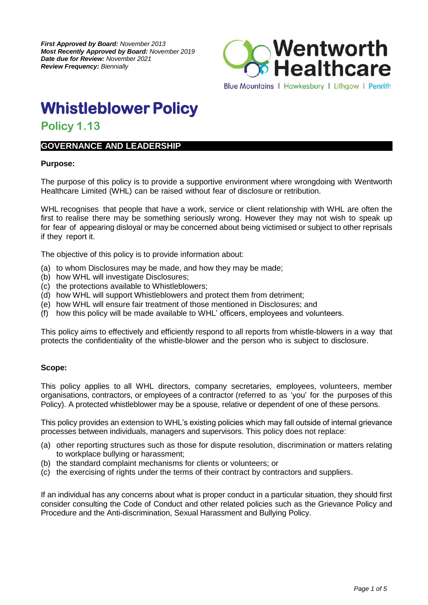

# **Whistleblower Policy**

# **Policy 1.13**

## **GOVERNANCE AND LEADERSHIP**

#### **Purpose:**

The purpose of this policy is to provide a supportive environment where wrongdoing with Wentworth Healthcare Limited (WHL) can be raised without fear of disclosure or retribution.

WHL recognises that people that have a work, service or client relationship with WHL are often the first to realise there may be something seriously wrong. However they may not wish to speak up for fear of appearing disloyal or may be concerned about being victimised or subject to other reprisals if they report it.

The objective of this policy is to provide information about:

- (a) to whom Disclosures may be made, and how they may be made;
- (b) how WHL will investigate Disclosures;
- (c) the protections available to Whistleblowers;
- (d) how WHL will support Whistleblowers and protect them from detriment;
- (e) how WHL will ensure fair treatment of those mentioned in Disclosures; and
- (f) how this policy will be made available to WHL' officers, employees and volunteers.

This policy aims to effectively and efficiently respond to all reports from whistle-blowers in a way that protects the confidentiality of the whistle-blower and the person who is subject to disclosure.

#### **Scope:**

This policy applies to all WHL directors, company secretaries, employees, volunteers, member organisations, contractors, or employees of a contractor (referred to as 'you' for the purposes of this Policy). A protected whistleblower may be a spouse, relative or dependent of one of these persons.

This policy provides an extension to WHL's existing policies which may fall outside of internal grievance processes between individuals, managers and supervisors. This policy does not replace:

- (a) other reporting structures such as those for dispute resolution, discrimination or matters relating to workplace bullying or harassment;
- (b) the standard complaint mechanisms for clients or volunteers; or
- (c) the exercising of rights under the terms of their contract by contractors and suppliers.

If an individual has any concerns about what is proper conduct in a particular situation, they should first consider consulting the Code of Conduct and other related policies such as the Grievance Policy and Procedure and the Anti-discrimination, Sexual Harassment and Bullying Policy.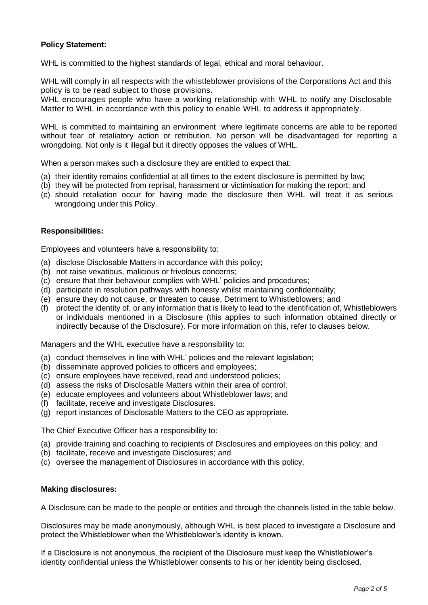#### **Policy Statement:**

WHL is committed to the highest standards of legal, ethical and moral behaviour.

WHL will comply in all respects with the whistleblower provisions of the Corporations Act and this policy is to be read subject to those provisions.

WHL encourages people who have a working relationship with WHL to notify any Disclosable Matter to WHL in accordance with this policy to enable WHL to address it appropriately.

WHL is committed to maintaining an environment where legitimate concerns are able to be reported without fear of retaliatory action or retribution. No person will be disadvantaged for reporting a wrongdoing. Not only is it illegal but it directly opposes the values of WHL.

When a person makes such a disclosure they are entitled to expect that:

- (a) their identity remains confidential at all times to the extent disclosure is permitted by law;
- (b) they will be protected from reprisal, harassment or victimisation for making the report; and
- (c) should retaliation occur for having made the disclosure then WHL will treat it as serious wrongdoing under this Policy.

#### **Responsibilities:**

Employees and volunteers have a responsibility to:

- (a) disclose Disclosable Matters in accordance with this policy;
- (b) not raise vexatious, malicious or frivolous concerns;
- (c) ensure that their behaviour complies with WHL' policies and procedures;
- (d) participate in resolution pathways with honesty whilst maintaining confidentiality;
- (e) ensure they do not cause, or threaten to cause, Detriment to Whistleblowers; and
- (f) protect the identity of, or any information that is likely to lead to the identification of, Whistleblowers or individuals mentioned in a Disclosure (this applies to such information obtained directly or indirectly because of the Disclosure). For more information on this, refer to clauses below.

Managers and the WHL executive have a responsibility to:

- (a) conduct themselves in line with WHL' policies and the relevant legislation;
- (b) disseminate approved policies to officers and employees;
- (c) ensure employees have received, read and understood policies;
- (d) assess the risks of Disclosable Matters within their area of control;
- (e) educate employees and volunteers about Whistleblower laws; and
- (f) facilitate, receive and investigate Disclosures.
- (g) report instances of Disclosable Matters to the CEO as appropriate.

The Chief Executive Officer has a responsibility to:

- (a) provide training and coaching to recipients of Disclosures and employees on this policy; and
- (b) facilitate, receive and investigate Disclosures; and
- (c) oversee the management of Disclosures in accordance with this policy.

#### **Making disclosures:**

A Disclosure can be made to the people or entities and through the channels listed in the table below.

Disclosures may be made anonymously, although WHL is best placed to investigate a Disclosure and protect the Whistleblower when the Whistleblower's identity is known.

If a Disclosure is not anonymous, the recipient of the Disclosure must keep the Whistleblower's identity confidential unless the Whistleblower consents to his or her identity being disclosed.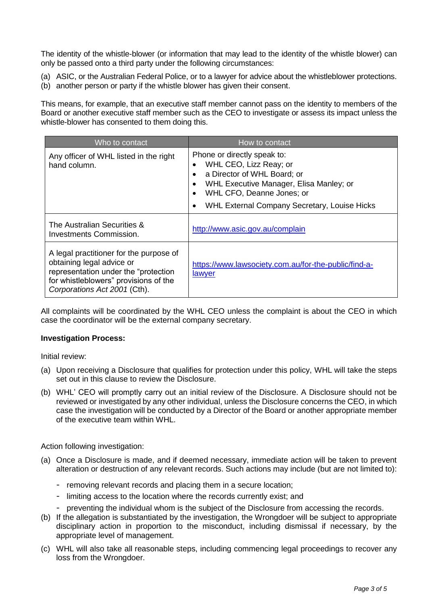The identity of the whistle-blower (or information that may lead to the identity of the whistle blower) can only be passed onto a third party under the following circumstances:

- (a) ASIC, or the Australian Federal Police, or to a lawyer for advice about the whistleblower protections.
- (b) another person or party if the whistle blower has given their consent.

This means, for example, that an executive staff member cannot pass on the identity to members of the Board or another executive staff member such as the CEO to investigate or assess its impact unless the whistle-blower has consented to them doing this.

| Who to contact                                                                                                                                                                         | How to contact                                                                                                                                                                                                                                                                |
|----------------------------------------------------------------------------------------------------------------------------------------------------------------------------------------|-------------------------------------------------------------------------------------------------------------------------------------------------------------------------------------------------------------------------------------------------------------------------------|
| Any officer of WHL listed in the right<br>hand column.                                                                                                                                 | Phone or directly speak to:<br>WHL CEO, Lizz Reay; or<br>$\bullet$<br>a Director of WHL Board; or<br>$\bullet$<br>WHL Executive Manager, Elisa Manley; or<br>$\bullet$<br>WHL CFO, Deanne Jones; or<br>$\bullet$<br>WHL External Company Secretary, Louise Hicks<br>$\bullet$ |
| The Australian Securities &<br>Investments Commission.                                                                                                                                 | http://www.asic.gov.au/complain                                                                                                                                                                                                                                               |
| A legal practitioner for the purpose of<br>obtaining legal advice or<br>representation under the "protection"<br>for whistleblowers" provisions of the<br>Corporations Act 2001 (Cth). | https://www.lawsociety.com.au/for-the-public/find-a-<br>lawyer                                                                                                                                                                                                                |

All complaints will be coordinated by the WHL CEO unless the complaint is about the CEO in which case the coordinator will be the external company secretary.

#### **Investigation Process:**

Initial review:

- (a) Upon receiving a Disclosure that qualifies for protection under this policy, WHL will take the steps set out in this clause to review the Disclosure.
- (b) WHL' CEO will promptly carry out an initial review of the Disclosure. A Disclosure should not be reviewed or investigated by any other individual, unless the Disclosure concerns the CEO, in which case the investigation will be conducted by a Director of the Board or another appropriate member of the executive team within WHL.

Action following investigation:

- (a) Once a Disclosure is made, and if deemed necessary, immediate action will be taken to prevent alteration or destruction of any relevant records. Such actions may include (but are not limited to):
	- removing relevant records and placing them in a secure location;
	- limiting access to the location where the records currently exist; and
	- preventing the individual whom is the subject of the Disclosure from accessing the records.
- (b) If the allegation is substantiated by the investigation, the Wrongdoer will be subject to appropriate disciplinary action in proportion to the misconduct, including dismissal if necessary, by the appropriate level of management.
- (c) WHL will also take all reasonable steps, including commencing legal proceedings to recover any loss from the Wrongdoer.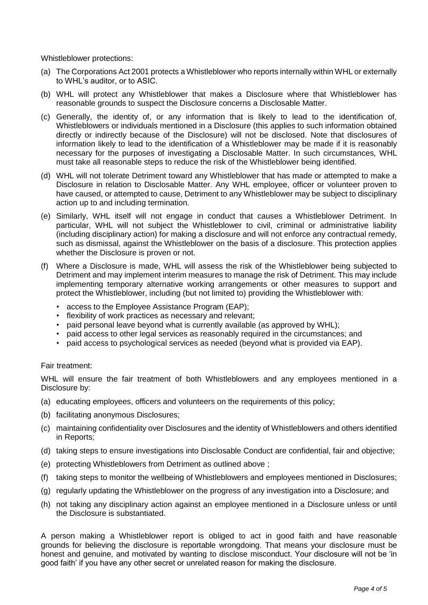Whistleblower protections:

- (a) The Corporations Act 2001 protects a Whistleblower who reports internally within WHL or externally to WHL's auditor, or to ASIC.
- (b) WHL will protect any Whistleblower that makes a Disclosure where that Whistleblower has reasonable grounds to suspect the Disclosure concerns a Disclosable Matter.
- (c) Generally, the identity of, or any information that is likely to lead to the identification of, Whistleblowers or individuals mentioned in a Disclosure (this applies to such information obtained directly or indirectly because of the Disclosure) will not be disclosed. Note that disclosures of information likely to lead to the identification of a Whistleblower may be made if it is reasonably necessary for the purposes of investigating a Disclosable Matter. In such circumstances, WHL must take all reasonable steps to reduce the risk of the Whistleblower being identified.
- (d) WHL will not tolerate Detriment toward any Whistleblower that has made or attempted to make a Disclosure in relation to Disclosable Matter. Any WHL employee, officer or volunteer proven to have caused, or attempted to cause, Detriment to any Whistleblower may be subject to disciplinary action up to and including termination.
- (e) Similarly, WHL itself will not engage in conduct that causes a Whistleblower Detriment. In particular. WHL will not subject the Whistleblower to civil, criminal or administrative liability (including disciplinary action) for making a disclosure and will not enforce any contractual remedy, such as dismissal, against the Whistleblower on the basis of a disclosure. This protection applies whether the Disclosure is proven or not.
- (f) Where a Disclosure is made, WHL will assess the risk of the Whistleblower being subjected to Detriment and may implement interim measures to manage the risk of Detriment. This may include implementing temporary alternative working arrangements or other measures to support and protect the Whistleblower, including (but not limited to) providing the Whistleblower with:
	- access to the Employee Assistance Program (EAP);
	- flexibility of work practices as necessary and relevant;
	- paid personal leave beyond what is currently available (as approved by WHL);
	- paid access to other legal services as reasonably required in the circumstances; and
	- paid access to psychological services as needed (beyond what is provided via EAP).

#### Fair treatment:

WHL will ensure the fair treatment of both Whistleblowers and any employees mentioned in a Disclosure by:

- (a) educating employees, officers and volunteers on the requirements of this policy;
- (b) facilitating anonymous Disclosures;
- (c) maintaining confidentiality over Disclosures and the identity of Whistleblowers and others identified in Reports;
- (d) taking steps to ensure investigations into Disclosable Conduct are confidential, fair and objective;
- (e) protecting Whistleblowers from Detriment as outlined above ;
- (f) taking steps to monitor the wellbeing of Whistleblowers and employees mentioned in Disclosures;
- (g) regularly updating the Whistleblower on the progress of any investigation into a Disclosure; and
- (h) not taking any disciplinary action against an employee mentioned in a Disclosure unless or until the Disclosure is substantiated.

A person making a Whistleblower report is obliged to act in good faith and have reasonable grounds for believing the disclosure is reportable wrongdoing. That means your disclosure must be honest and genuine, and motivated by wanting to disclose misconduct. Your disclosure will not be 'in good faith' if you have any other secret or unrelated reason for making the disclosure.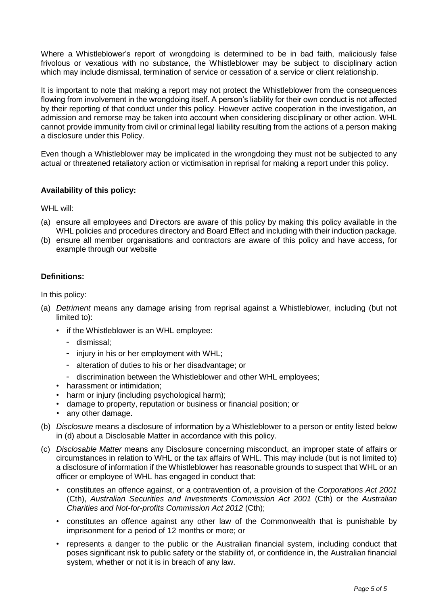Where a Whistleblower's report of wrongdoing is determined to be in bad faith, maliciously false frivolous or vexatious with no substance, the Whistleblower may be subject to disciplinary action which may include dismissal, termination of service or cessation of a service or client relationship.

It is important to note that making a report may not protect the Whistleblower from the consequences flowing from involvement in the wrongdoing itself. A person's liability for their own conduct is not affected by their reporting of that conduct under this policy. However active cooperation in the investigation, an admission and remorse may be taken into account when considering disciplinary or other action. WHL cannot provide immunity from civil or criminal legal liability resulting from the actions of a person making a disclosure under this Policy.

Even though a Whistleblower may be implicated in the wrongdoing they must not be subjected to any actual or threatened retaliatory action or victimisation in reprisal for making a report under this policy.

### **Availability of this policy:**

WHL will:

- (a) ensure all employees and Directors are aware of this policy by making this policy available in the WHL policies and procedures directory and Board Effect and including with their induction package.
- (b) ensure all member organisations and contractors are aware of this policy and have access, for example through our website

#### **Definitions:**

In this policy:

- (a) *Detriment* means any damage arising from reprisal against a Whistleblower, including (but not limited to):
	- if the Whistleblower is an WHL employee:
		- dismissal;
		- injury in his or her employment with WHL;
		- alteration of duties to his or her disadvantage; or
		- discrimination between the Whistleblower and other WHL employees;
	- harassment or intimidation;
	- harm or injury (including psychological harm);
	- damage to property, reputation or business or financial position; or
	- any other damage.
- (b) *Disclosure* means a disclosure of information by a Whistleblower to a person or entity listed below in (d) about a Disclosable Matter in accordance with this policy.
- (c) *Disclosable Matter* means any Disclosure concerning misconduct, an improper state of affairs or circumstances in relation to WHL or the tax affairs of WHL. This may include (but is not limited to) a disclosure of information if the Whistleblower has reasonable grounds to suspect that WHL or an officer or employee of WHL has engaged in conduct that:
	- constitutes an offence against, or a contravention of, a provision of the *Corporations Act 2001* (Cth), *Australian Securities and Investments Commission Act 2001* (Cth) or the *Australian Charities and Not-for-profits Commission Act 2012* (Cth);
	- constitutes an offence against any other law of the Commonwealth that is punishable by imprisonment for a period of 12 months or more; or
	- represents a danger to the public or the Australian financial system, including conduct that poses significant risk to public safety or the stability of, or confidence in, the Australian financial system, whether or not it is in breach of any law.